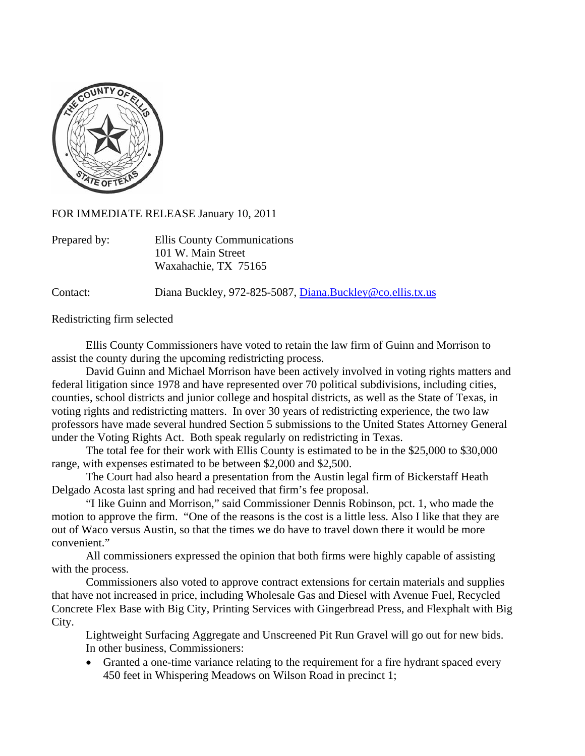

FOR IMMEDIATE RELEASE January 10, 2011

| Prepared by: | Ellis County Communications |
|--------------|-----------------------------|
|              | 101 W. Main Street          |
|              | Waxahachie, TX 75165        |

Contact: Diana Buckley, 972-825-5087, [Diana.Buckley@co.ellis.tx.us](mailto:Diana.Buckley@co.ellis.tx.us)

Redistricting firm selected

 Ellis County Commissioners have voted to retain the law firm of Guinn and Morrison to assist the county during the upcoming redistricting process.

 David Guinn and Michael Morrison have been actively involved in voting rights matters and federal litigation since 1978 and have represented over 70 political subdivisions, including cities, counties, school districts and junior college and hospital districts, as well as the State of Texas, in voting rights and redistricting matters. In over 30 years of redistricting experience, the two law professors have made several hundred Section 5 submissions to the United States Attorney General under the Voting Rights Act. Both speak regularly on redistricting in Texas.

 The total fee for their work with Ellis County is estimated to be in the \$25,000 to \$30,000 range, with expenses estimated to be between \$2,000 and \$2,500.

 The Court had also heard a presentation from the Austin legal firm of Bickerstaff Heath Delgado Acosta last spring and had received that firm's fee proposal.

 "I like Guinn and Morrison," said Commissioner Dennis Robinson, pct. 1, who made the motion to approve the firm. "One of the reasons is the cost is a little less. Also I like that they are out of Waco versus Austin, so that the times we do have to travel down there it would be more convenient."

 All commissioners expressed the opinion that both firms were highly capable of assisting with the process.

 Commissioners also voted to approve contract extensions for certain materials and supplies that have not increased in price, including Wholesale Gas and Diesel with Avenue Fuel, Recycled Concrete Flex Base with Big City, Printing Services with Gingerbread Press, and Flexphalt with Big City.

 Lightweight Surfacing Aggregate and Unscreened Pit Run Gravel will go out for new bids. In other business, Commissioners:

• Granted a one-time variance relating to the requirement for a fire hydrant spaced every 450 feet in Whispering Meadows on Wilson Road in precinct 1;